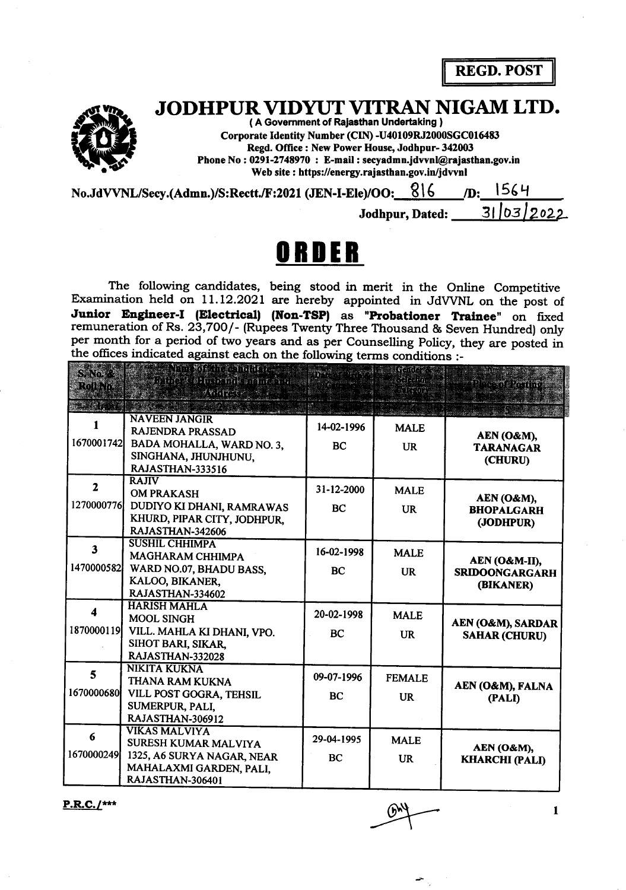**REGD. POST** 

JODHPUR VIDYUT VITRAN NIGAM LTD.

(A Government of Rajasthan Undertaking) Corporate Identity Number (CIN) -U40109RJ2000SGC016483 Regd. Office: New Power House, Jodhpur-342003 Phone No: 0291-2748970: E-mail: secyadmn.jdvvnl@rajasthan.gov.in Web site: https://energy.rajasthan.gov.in/jdvvnl

| No.JdVVNL/Secy.(Admn.)/S:Rectt./F:2021 (JEN-I-Ele)/OO: $816$ |                 |  | /D: 1564   |  |
|--------------------------------------------------------------|-----------------|--|------------|--|
|                                                              | Jodhpur, Dated: |  | 31/03/2022 |  |

## ORDER

The following candidates, being stood in merit in the Online Competitive Examination held on 11.12.2021 are hereby appointed in JdVVNL on the post of Junior Engineer-I (Electrical) (Non-TSP) as "Probationer Trainee" on fixed remuneration of Rs. 23,700/- (Rupees Twenty Three Thousand & Seven Hundred) only per month for a period of two years and as per Counselling Policy, they are posted in the offices indicated against each on the following terms conditions :-

| $SNN \otimes$<br>Rollino | kini yakarasmance<br>The Velocial and the<br>≹९ मिट <i>र</i> €र⊚      |            | ranse<br>anan n | <u>n san saman</u>                           |
|--------------------------|-----------------------------------------------------------------------|------------|-----------------|----------------------------------------------|
|                          |                                                                       |            |                 |                                              |
|                          | <b>NAVEEN JANGIR</b><br>RAJENDRA PRASSAD                              | 14-02-1996 | <b>MALE</b>     | AEN (O&M),                                   |
| 1670001742               | BADA MOHALLA, WARD NO. 3.<br>SINGHANA, JHUNJHUNU,<br>RAJASTHAN-333516 | <b>BC</b>  | <b>UR</b>       | <b>TARANAGAR</b><br>(CHURU)                  |
| $\overline{2}$           | <b>RAJIV</b><br><b>OM PRAKASH</b>                                     | 31-12-2000 | <b>MALE</b>     |                                              |
| 1270000776               | DUDIYO KI DHANI, RAMRAWAS<br>KHURD, PIPAR CITY, JODHPUR,              | BC         | <b>UR</b>       | AEN (O&M),<br><b>BHOPALGARH</b><br>(JODHPUR) |
|                          | RAJASTHAN-342606<br><b>SUSHIL CHHIMPA</b>                             |            |                 |                                              |
| $\overline{\mathbf{3}}$  | <b>MAGHARAM CHHIMPA</b>                                               | 16-02-1998 | <b>MALE</b>     | AEN (O&M-II),                                |
| 1470000582               | WARD NO.07, BHADU BASS,<br>KALOO, BIKANER.                            | <b>BC</b>  | <b>UR</b>       | <b>SRIDOONGARGARH</b><br>(BIKANER)           |
|                          | RAJASTHAN-334602                                                      |            |                 |                                              |
| 4                        | <b>HARISH MAHLA</b><br><b>MOOL SINGH</b>                              | 20-02-1998 | <b>MALE</b>     |                                              |
| 1870000119               | VILL. MAHLA KI DHANI, VPO.<br>SIHOT BARI, SIKAR.                      | <b>BC</b>  | <b>UR</b>       | AEN (O&M), SARDAR<br><b>SAHAR (CHURU)</b>    |
|                          | RAJASTHAN-332028                                                      |            |                 |                                              |
| 5                        | <b>NIKITA KUKNA</b><br>THANA RAM KUKNA                                | 09-07-1996 | <b>FEMALE</b>   |                                              |
| 1670000680               | VILL POST GOGRA, TEHSIL                                               | BC         | <b>UR</b>       | AEN (O&M), FALNA<br>(PALI)                   |
|                          | SUMERPUR, PALI,<br>RAJASTHAN-306912                                   |            |                 |                                              |
| 6                        | <b>VIKAS MALVIYA</b><br>SURESH KUMAR MALVIYA                          | 29-04-1995 | <b>MALE</b>     |                                              |
| 1670000249               | 1325, A6 SURYA NAGAR, NEAR                                            | <b>BC</b>  | <b>UR</b>       | AEN (O&M),<br><b>KHARCHI (PALI)</b>          |
|                          | MAHALAXMI GARDEN, PALI,<br>RAJASTHAN-306401                           |            |                 |                                              |

 $P.R.C.$ /\*\*\*

 $\mathbf{1}$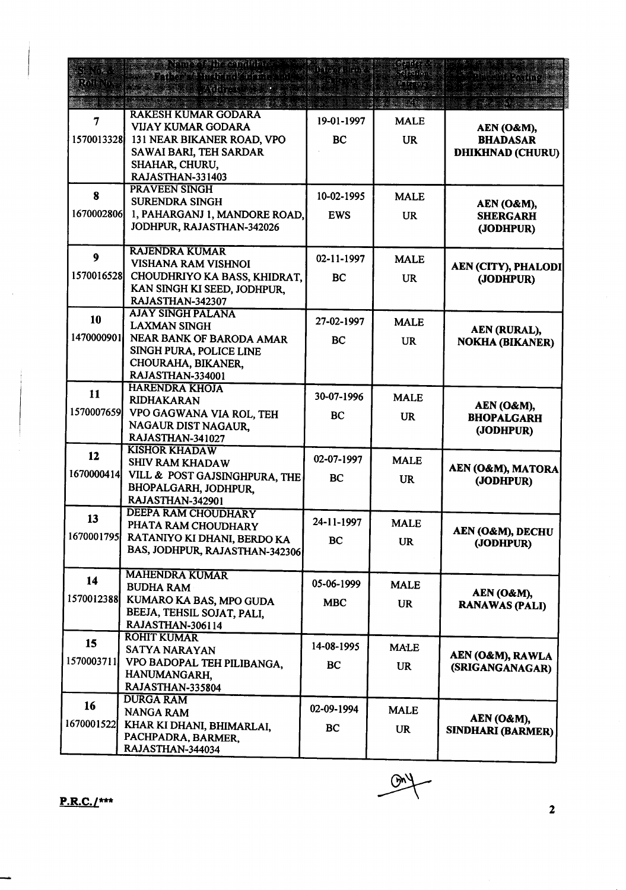|                  | <b>THE THE STATIONS</b><br><b>BREADT PETTY PRODUCT</b><br><b>REAL PARTIES AND REAL</b> |            | etzin or<br>ងស្រង់អង្គរ |                                        |
|------------------|----------------------------------------------------------------------------------------|------------|-------------------------|----------------------------------------|
|                  | <b>RAKESH KUMAR GODARA</b>                                                             |            |                         |                                        |
| 7                | <b>VIJAY KUMAR GODARA</b>                                                              | 19-01-1997 | <b>MALE</b>             | AEN (O&M),                             |
| 1570013328       | 131 NEAR BIKANER ROAD, VPO                                                             | BC         | <b>UR</b>               | <b>BHADASAR</b>                        |
|                  | SAWAI BARI, TEH SARDAR                                                                 |            |                         | <b>DHIKHNAD (CHURU)</b>                |
|                  | SHAHAR, CHURU,                                                                         |            |                         |                                        |
|                  | RAJASTHAN-331403<br><b>PRAVEEN SINGH</b>                                               |            |                         |                                        |
| 8                | <b>SURENDRA SINGH</b>                                                                  | 10-02-1995 | <b>MALE</b>             |                                        |
| 1670002806       | 1, PAHARGANJ 1, MANDORE ROAD,                                                          | <b>EWS</b> | <b>UR</b>               | AEN (O&M),<br><b>SHERGARH</b>          |
|                  | JODHPUR, RAJASTHAN-342026                                                              |            |                         | (JODHPUR)                              |
|                  |                                                                                        |            |                         |                                        |
| $\boldsymbol{9}$ | <b>RAJENDRA KUMAR</b>                                                                  | 02-11-1997 | <b>MALE</b>             |                                        |
|                  | VISHANA RAM VISHNOI                                                                    |            |                         | AEN (CITY), PHALODI                    |
| 1570016528       | CHOUDHRIYO KA BASS, KHIDRAT,<br>KAN SINGH KI SEED, JODHPUR,                            | BC         | <b>UR</b>               | (JODHPUR)                              |
|                  | RAJASTHAN-342307                                                                       |            |                         |                                        |
|                  | <b>AJAY SINGH PALANA</b>                                                               |            |                         |                                        |
| 10               | <b>LAXMAN SINGH</b>                                                                    | 27-02-1997 | <b>MALE</b>             | AEN (RURAL),                           |
| 1470000901       | NEAR BANK OF BARODA AMAR                                                               | <b>BC</b>  | <b>UR</b>               | <b>NOKHA (BIKANER)</b>                 |
|                  | SINGH PURA, POLICE LINE                                                                |            |                         |                                        |
|                  | CHOURAHA, BIKANER,                                                                     |            |                         |                                        |
|                  | RAJASTHAN-334001<br><b>HARENDRA KHOJA</b>                                              |            |                         |                                        |
| 11               | <b>RIDHAKARAN</b>                                                                      | 30-07-1996 | <b>MALE</b>             |                                        |
| 1570007659       | VPO GAGWANA VIA ROL, TEH                                                               | BC         |                         | AEN (O&M),                             |
|                  | NAGAUR DIST NAGAUR,                                                                    |            | <b>UR</b>               | <b>BHOPALGARH</b><br>(JODHPUR)         |
|                  | RAJASTHAN-341027                                                                       |            |                         |                                        |
| 12               | <b>KISHOR KHADAW</b>                                                                   | 02-07-1997 |                         |                                        |
|                  | <b>SHIV RAM KHADAW</b>                                                                 |            | <b>MALE</b>             | AEN (O&M), MATORA                      |
| 1670000414       | VILL & POST GAJSINGHPURA, THE                                                          | <b>BC</b>  | <b>UR</b>               | (JODHPUR)                              |
|                  | BHOPALGARH, JODHPUR,<br>RAJASTHAN-342901                                               |            |                         |                                        |
|                  | <b>DEEPA RAM CHOUDHARY</b>                                                             |            |                         |                                        |
| 13               | PHATA RAM CHOUDHARY                                                                    | 24-11-1997 | <b>MALE</b>             |                                        |
| 1670001795       | RATANIYO KI DHANI, BERDO KA                                                            | <b>BC</b>  | <b>UR</b>               | AEN (O&M), DECHU<br>(JODHPUR)          |
|                  | BAS, JODHPUR, RAJASTHAN-342306                                                         |            |                         |                                        |
|                  | <b>MAHENDRA KUMAR</b>                                                                  |            |                         |                                        |
| 14               | <b>BUDHA RAM</b>                                                                       | 05-06-1999 | <b>MALE</b>             |                                        |
| 1570012388       | KUMARO KA BAS, MPO GUDA                                                                | <b>MBC</b> |                         | AEN (O&M),                             |
|                  | BEEJA, TEHSIL SOJAT, PALI,                                                             |            | <b>UR</b>               | <b>RANAWAS (PALI)</b>                  |
|                  | RAJASTHAN-306114                                                                       |            |                         |                                        |
| 15               | <b>ROHIT KUMAR</b>                                                                     |            |                         |                                        |
|                  | SATYA NARAYAN                                                                          | 14-08-1995 | <b>MALE</b>             | AEN (O&M), RAWLA                       |
| 1570003711       | VPO BADOPAL TEH PILIBANGA,                                                             | BC         | <b>UR</b>               | (SRIGANGANAGAR)                        |
|                  | HANUMANGARH,<br>RAJASTHAN-335804                                                       |            |                         |                                        |
|                  | <b>DURGA RAM</b>                                                                       |            |                         |                                        |
| 16               | <b>NANGA RAM</b>                                                                       | 02-09-1994 | <b>MALE</b>             |                                        |
| 1670001522       | KHAR KI DHANI, BHIMARLAI,                                                              | <b>BC</b>  | <b>UR</b>               | AEN (O&M),<br><b>SINDHARI (BARMER)</b> |
|                  | PACHPADRA, BARMER,                                                                     |            |                         |                                        |
|                  | RAJASTHAN-344034                                                                       |            |                         |                                        |

 $\overline{\mathbf{2}}$ 

 $\frac{GM}{r}$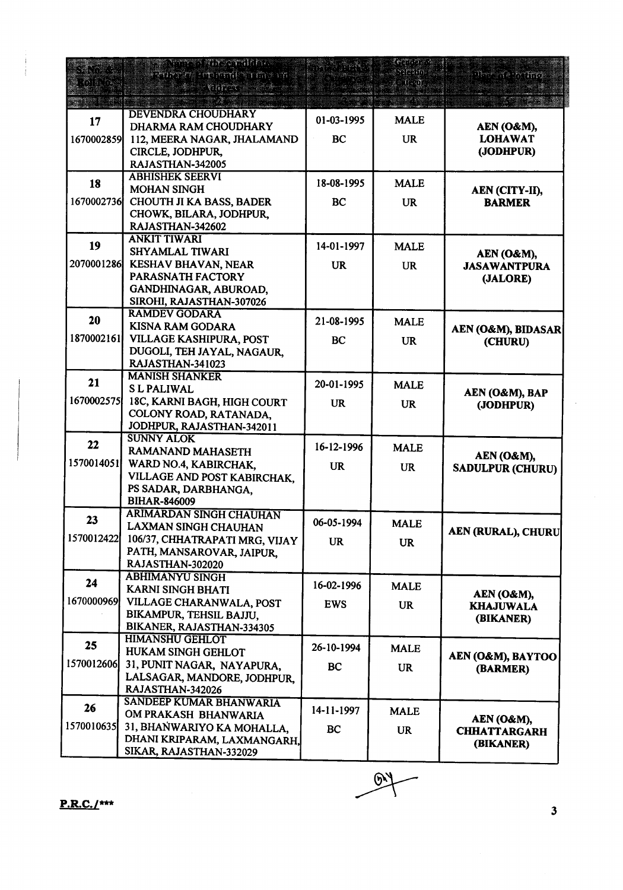| 33 : St    | TERSTYING CHAIRTY<br><u>en miller me m</u><br>ymyst    |            | tean an s<br>ി?്ത് | nte in 1117                    |
|------------|--------------------------------------------------------|------------|--------------------|--------------------------------|
|            |                                                        |            |                    |                                |
|            | <b>DEVENDRA CHOUDHARY</b>                              |            |                    |                                |
| 17         | DHARMA RAM CHOUDHARY                                   | 01-03-1995 | <b>MALE</b>        | AEN (O&M),                     |
| 1670002859 | 112, MEERA NAGAR, JHALAMAND                            | BC         | <b>UR</b>          | <b>LOHAWAT</b>                 |
|            | CIRCLE, JODHPUR,                                       |            |                    | (JODHPUR)                      |
|            | RAJASTHAN-342005                                       |            |                    |                                |
| 18         | <b>ABHISHEK SEERVI</b>                                 | 18-08-1995 | <b>MALE</b>        |                                |
|            | <b>MOHAN SINGH</b>                                     |            |                    | AEN (CITY-II),                 |
| 1670002736 | <b>CHOUTH JI KA BASS, BADER</b>                        | <b>BC</b>  | <b>UR</b>          | <b>BARMER</b>                  |
|            | CHOWK, BILARA, JODHPUR,<br>RAJASTHAN-342602            |            |                    |                                |
|            | <b>ANKIT TIWARI</b>                                    |            |                    |                                |
| 19         | SHYAMLAL TIWARI                                        | 14-01-1997 | <b>MALE</b>        | AEN (O&M),                     |
| 2070001286 | KESHAV BHAVAN, NEAR                                    | <b>UR</b>  | <b>UR</b>          | <b>JASAWANTPURA</b>            |
|            | <b>PARASNATH FACTORY</b>                               |            |                    | (JALORE)                       |
|            | GANDHINAGAR, ABUROAD,                                  |            |                    |                                |
|            | SIROHI, RAJASTHAN-307026                               |            |                    |                                |
| 20         | <b>RAMDEV GODARA</b>                                   | 21-08-1995 | <b>MALE</b>        |                                |
|            | KISNA RAM GODARA                                       |            |                    | AEN (O&M), BIDASAR             |
| 1870002161 | VILLAGE KASHIPURA, POST                                | BC         | <b>UR</b>          | (CHURU)                        |
|            | DUGOLI, TEH JAYAL, NAGAUR,                             |            |                    |                                |
|            | RAJASTHAN-341023                                       |            |                    |                                |
| 21         | <b>MANISH SHANKER</b><br><b>SL PALIWAL</b>             | 20-01-1995 | <b>MALE</b>        |                                |
| 1670002575 | 18C, KARNI BAGH, HIGH COURT                            |            |                    | AEN (O&M), BAP                 |
|            | COLONY ROAD, RATANADA,                                 | <b>UR</b>  | <b>UR</b>          | (JODHPUR)                      |
|            | JODHPUR, RAJASTHAN-342011                              |            |                    |                                |
|            | <b>SUNNY ALOK</b>                                      |            |                    |                                |
| 22         | RAMANAND MAHASETH                                      | 16-12-1996 | <b>MALE</b>        | AEN (O&M),                     |
| 1570014051 | WARD NO.4, KABIRCHAK,                                  | <b>UR</b>  | <b>UR</b>          | <b>SADULPUR (CHURU)</b>        |
|            | VILLAGE AND POST KABIRCHAK,                            |            |                    |                                |
|            | PS SADAR, DARBHANGA,                                   |            |                    |                                |
|            | <b>BIHAR-846009</b>                                    |            |                    |                                |
| 23         | <b>ARIMARDAN SINGH CHAUHAN</b>                         | 06-05-1994 | <b>MALE</b>        |                                |
| 1570012422 | LAXMAN SINGH CHAUHAN                                   |            |                    | <b>AEN (RURAL), CHURU</b>      |
|            | 106/37, CHHATRAPATI MRG, VIJAY                         | <b>UR</b>  | <b>UR</b>          |                                |
|            | PATH, MANSAROVAR, JAIPUR,<br>RAJASTHAN-302020          |            |                    |                                |
|            | <b>ABHIMANYU SINGH</b>                                 |            |                    |                                |
| 24         | KARNI SINGH BHATI                                      | 16-02-1996 | <b>MALE</b>        |                                |
| 1670000969 | VILLAGE CHARANWALA, POST                               | <b>EWS</b> | <b>UR</b>          | AEN (O&M),<br><b>KHAJUWALA</b> |
|            | BIKAMPUR, TEHSIL BAJJU,                                |            |                    | (BIKANER)                      |
|            | BIKANER, RAJASTHAN-334305                              |            |                    |                                |
| 25         | <b>HIMANSHU GEHLOT</b>                                 | 26-10-1994 |                    |                                |
|            | <b>HUKAM SINGH GEHLOT</b>                              |            | <b>MALE</b>        | AEN (O&M), BAYTOO              |
| 1570012606 | 31, PUNIT NAGAR, NAYAPURA,                             | BC         | <b>UR</b>          | (BARMER)                       |
|            | LALSAGAR, MANDORE, JODHPUR,                            |            |                    |                                |
|            | RAJASTHAN-342026                                       |            |                    |                                |
| 26         | <b>SANDEEP KUMAR BHANWARIA</b><br>OM PRAKASH BHANWARIA | 14-11-1997 | <b>MALE</b>        |                                |
| 1570010635 | 31, BHAŃWARIYO KA MOHALLA,                             |            |                    | AEN (O&M),                     |
|            | DHANI KRIPARAM, LAXMANGARH,                            | <b>BC</b>  | <b>UR</b>          | <b>CHHATTARGARH</b>            |
|            | SIKAR, RAJASTHAN-332029                                |            |                    | (BIKANER)                      |
|            |                                                        |            |                    |                                |

 $\sqrt{91}$ 

 $P.R.C.$ /\*\*\*

 $\overline{\mathbf{3}}$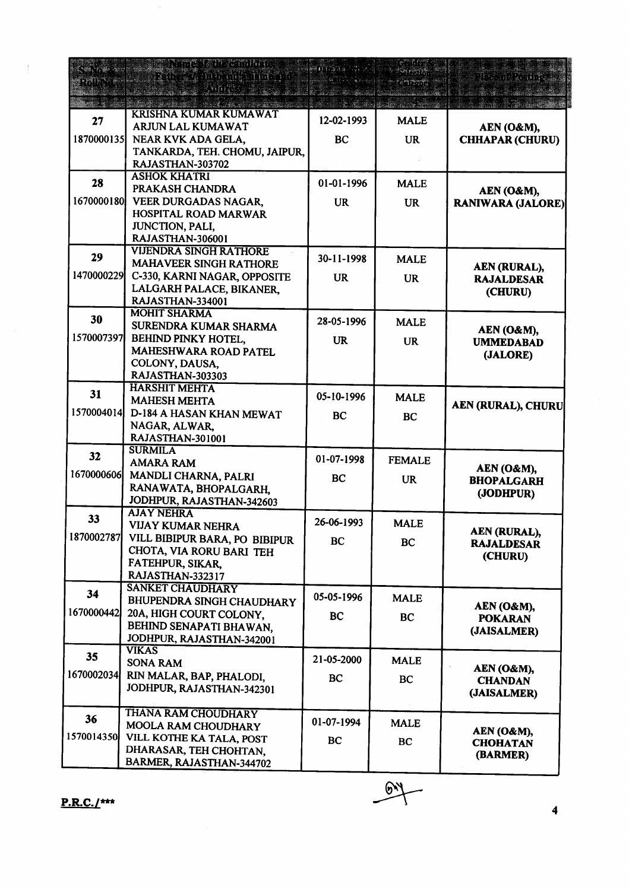|            | <b>Particularly in the Communication</b><br>The State of the Time of<br><u>gringes</u> |            |               | The mile time of              |
|------------|----------------------------------------------------------------------------------------|------------|---------------|-------------------------------|
|            | <u> 1987 - Johann Barnett, fransk forsk formanne</u>                                   |            |               |                               |
| 27         | <b>KRISHNA KUMAR KUMAWAT</b><br>ARJUN LAL KUMAWAT                                      | 12-02-1993 | <b>MALE</b>   | AEN (O&M),                    |
| 1870000135 | NEAR KVK ADA GELA,                                                                     | BC         | <b>UR</b>     | <b>CHHAPAR (CHURU)</b>        |
|            | TANKARDA, TEH. CHOMU, JAIPUR,                                                          |            |               |                               |
|            | RAJASTHAN-303702                                                                       |            |               |                               |
| 28         | <b>ASHOK KHATRI</b>                                                                    | 01-01-1996 | <b>MALE</b>   |                               |
|            | PRAKASH CHANDRA                                                                        |            |               | <b>AEN (O&amp;M),</b>         |
| 1670000180 | VEER DURGADAS NAGAR,                                                                   | <b>UR</b>  | <b>UR</b>     | <b>RANIWARA (JALORE)</b>      |
|            | HOSPITAL ROAD MARWAR<br>JUNCTION, PALI,                                                |            |               |                               |
|            | RAJASTHAN-306001                                                                       |            |               |                               |
| 29         | VIJENDRA SINGH RATHORE                                                                 |            |               |                               |
|            | MAHAVEER SINGH RATHORE                                                                 | 30-11-1998 | <b>MALE</b>   | AEN (RURAL),                  |
| 1470000229 | C-330, KARNI NAGAR, OPPOSITE                                                           | <b>UR</b>  | <b>UR</b>     | <b>RAJALDESAR</b>             |
|            | LALGARH PALACE, BIKANER,<br>RAJASTHAN-334001                                           |            |               | (CHURU)                       |
|            | <b>MOHIT SHARMA</b>                                                                    |            |               |                               |
| 30         | SURENDRA KUMAR SHARMA                                                                  | 28-05-1996 | <b>MALE</b>   | AEN (O&M),                    |
| 1570007397 | BEHIND PINKY HOTEL,                                                                    | <b>UR</b>  | <b>UR</b>     | <b>UMMEDABAD</b>              |
|            | MAHESHWARA ROAD PATEL                                                                  |            |               | (JALORE)                      |
|            | COLONY, DAUSA,                                                                         |            |               |                               |
|            | RAJASTHAN-303303<br><b>HARSHIT MEHTA</b>                                               |            |               |                               |
| 31         | <b>MAHESH MEHTA</b>                                                                    | 05-10-1996 | <b>MALE</b>   |                               |
| 1570004014 | D-184 A HASAN KHAN MEWAT                                                               | <b>BC</b>  | BC            | <b>AEN (RURAL), CHURU</b>     |
|            | NAGAR, ALWAR.                                                                          |            |               |                               |
|            | RAJASTHAN-301001                                                                       |            |               |                               |
| 32         | <b>SURMILA</b><br><b>AMARA RAM</b>                                                     | 01-07-1998 | <b>FEMALE</b> |                               |
| 1670000606 | MANDLI CHARNA, PALRI                                                                   |            |               | AEN (O&M),                    |
|            | RANAWATA, BHOPALGARH,                                                                  | BC         | <b>UR</b>     | <b>BHOPALGARH</b>             |
|            | JODHPUR, RAJASTHAN-342603                                                              |            |               | (JODHPUR)                     |
| 33         | <b>AJAY NEHRA</b>                                                                      | 26-06-1993 |               |                               |
| 1870002787 | VIJAY KUMAR NEHRA                                                                      |            | <b>MALE</b>   | AEN (RURAL),                  |
|            | VILL BIBIPUR BARA, PO BIBIPUR<br>CHOTA, VIA RORU BARI TEH                              | <b>BC</b>  | <b>BC</b>     | <b>RAJALDESAR</b>             |
|            | FATEHPUR, SIKAR,                                                                       |            |               | (CHURU)                       |
|            | RAJASTHAN-332317                                                                       |            |               |                               |
| 34         | <b>SANKET CHAUDHARY</b>                                                                |            |               |                               |
|            | BHUPENDRA SINGH CHAUDHARY                                                              | 05-05-1996 | <b>MALE</b>   | AEN (O&M),                    |
| 1670000442 | 20A, HIGH COURT COLONY,                                                                | BC         | BC            | <b>POKARAN</b>                |
|            | BEHIND SENAPATI BHAWAN,<br>JODHPUR, RAJASTHAN-342001                                   |            |               | (JAISALMER)                   |
|            | <b>VIKAS</b>                                                                           |            |               |                               |
| 35         | <b>SONA RAM</b>                                                                        | 21-05-2000 | <b>MALE</b>   | AEN (O&M),                    |
| 1670002034 | RIN MALAR, BAP, PHALODI,                                                               | <b>BC</b>  | BC            | <b>CHANDAN</b>                |
|            | JODHPUR, RAJASTHAN-342301                                                              |            |               | (JAISALMER)                   |
|            | THANA RAM CHOUDHARY                                                                    |            |               |                               |
| 36         | MOOLA RAM CHOUDHARY                                                                    | 01-07-1994 | <b>MALE</b>   |                               |
| 1570014350 | VILL KOTHE KA TALA, POST                                                               | BC         | <b>BC</b>     | AEN (O&M),<br><b>CHOHATAN</b> |
|            | DHARASAR, TEH CHOHTAN,                                                                 |            |               | (BARMER)                      |
|            | BARMER, RAJASTHAN-344702                                                               |            |               |                               |

 $\frac{1}{2}$ 

 $-64$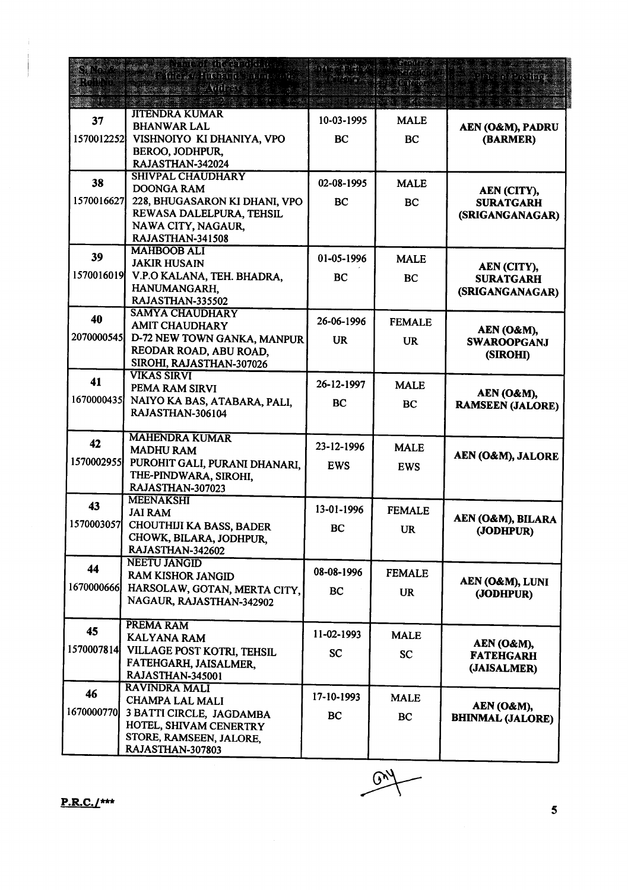|            | <b>SALTA TELEVISIONE AND STATE</b><br><b>AT THOMAS INDIANAL STATE</b> | streetne s | en avri       | The Chairman<br>The Revising    |
|------------|-----------------------------------------------------------------------|------------|---------------|---------------------------------|
|            | <b>Research Strategiers</b>                                           |            |               |                                 |
|            | <b>JITENDRA KUMAR</b>                                                 |            |               |                                 |
| 37         | <b>BHANWAR LAL</b>                                                    | 10-03-1995 | <b>MALE</b>   | AEN (O&M), PADRU                |
| 1570012252 | VISHNOIYO KI DHANIYA, VPO                                             | BC         | <b>BC</b>     | (BARMER)                        |
|            | BEROO, JODHPUR,                                                       |            |               |                                 |
|            | RAJASTHAN-342024<br><b>SHIVPAL CHAUDHARY</b>                          |            |               |                                 |
| 38         | <b>DOONGA RAM</b>                                                     | 02-08-1995 | <b>MALE</b>   | AEN (CITY),                     |
| 1570016627 | 228, BHUGASARON KI DHANI, VPO                                         | BC         | BC            | <b>SURATGARH</b>                |
|            | REWASA DALELPURA, TEHSIL                                              |            |               | (SRIGANGANAGAR)                 |
|            | NAWA CITY, NAGAUR,                                                    |            |               |                                 |
|            | RAJASTHAN-341508<br><b>MAHBOOB ALI</b>                                |            |               |                                 |
| 39         | <b>JAKIR HUSAIN</b>                                                   | 01-05-1996 | <b>MALE</b>   |                                 |
| 1570016019 | V.P.O KALANA, TEH. BHADRA,                                            | <b>BC</b>  | BC            | AEN (CITY),<br><b>SURATGARH</b> |
|            | HANUMANGARH,                                                          |            |               | (SRIGANGANAGAR)                 |
|            | RAJASTHAN-335502                                                      |            |               |                                 |
| 40         | <b>SAMYA CHAUDHARY</b>                                                | 26-06-1996 | <b>FEMALE</b> |                                 |
| 2070000545 | <b>AMIT CHAUDHARY</b><br>D-72 NEW TOWN GANKA, MANPUR                  |            |               | AEN (O&M),                      |
|            | REODAR ROAD, ABU ROAD,                                                | <b>UR</b>  | <b>UR</b>     | <b>SWAROOPGANJ</b>              |
|            | SIROHI, RAJASTHAN-307026                                              |            |               | (SIROHI)                        |
| 41         | <b>VIKAS SIRVI</b>                                                    |            |               |                                 |
|            | PEMA RAM SIRVI                                                        | 26-12-1997 | <b>MALE</b>   | AEN (O&M),                      |
| 1670000435 | NAIYO KA BAS, ATABARA, PALI,                                          | <b>BC</b>  | BC            | <b>RAMSEEN (JALORE)</b>         |
|            | RAJASTHAN-306104                                                      |            |               |                                 |
|            | <b>MAHENDRA KUMAR</b>                                                 |            |               |                                 |
| 42         | <b>MADHU RAM</b>                                                      | 23-12-1996 | <b>MALE</b>   | AEN (O&M), JALORE               |
| 1570002955 | PUROHIT GALI, PURANI DHANARI,                                         | <b>EWS</b> | <b>EWS</b>    |                                 |
|            | THE-PINDWARA, SIROHI,                                                 |            |               |                                 |
|            | RAJASTHAN-307023<br><b>MEENAKSHI</b>                                  |            |               |                                 |
| 43         | <b>JAI RAM</b>                                                        | 13-01-1996 | <b>FEMALE</b> |                                 |
| 1570003057 | CHOUTHIJI KA BASS, BADER                                              | <b>BC</b>  | <b>UR</b>     | AEN (O&M), BILARA<br>(JODHPUR)  |
|            | CHOWK, BILARA, JODHPUR,                                               |            |               |                                 |
|            | RAJASTHAN-342602                                                      |            |               |                                 |
| 44         | <b>NEETU JANGID</b><br><b>RAM KISHOR JANGID</b>                       | 08-08-1996 | <b>FEMALE</b> |                                 |
| 1670000666 | HARSOLAW, GOTAN, MERTA CITY,                                          | BC         |               | AEN (O&M), LUNI                 |
|            | NAGAUR, RAJASTHAN-342902                                              |            | <b>UR</b>     | (JODHPUR)                       |
|            |                                                                       |            |               |                                 |
| 45         | PREMARAM                                                              | 11-02-1993 | <b>MALE</b>   |                                 |
| 1570007814 | <b>KALYANA RAM</b><br>VILLAGE POST KOTRI, TEHSIL                      |            |               | AEN (O&M),                      |
|            | FATEHGARH, JAISALMER.                                                 | <b>SC</b>  | SC            | <b>FATEHGARH</b>                |
|            | RAJASTHAN-345001                                                      |            |               | (JAISALMER)                     |
| 46         | <b>RAVINDRA MALI</b>                                                  |            |               |                                 |
|            | <b>CHAMPA LAL MALI</b>                                                | 17-10-1993 | <b>MALE</b>   | AEN (O&M),                      |
| 1670000770 | 3 BATTI CIRCLE, JAGDAMBA                                              | BC         | BC            | <b>BHINMAL (JALORE)</b>         |
|            | HOTEL, SHIVAM CENERTRY<br>STORE, RAMSEEN, JALORE,                     |            |               |                                 |
|            | RAJASTHAN-307803                                                      |            |               |                                 |

 $G_{\lambda}$ 

 $\overline{\mathbf{5}}$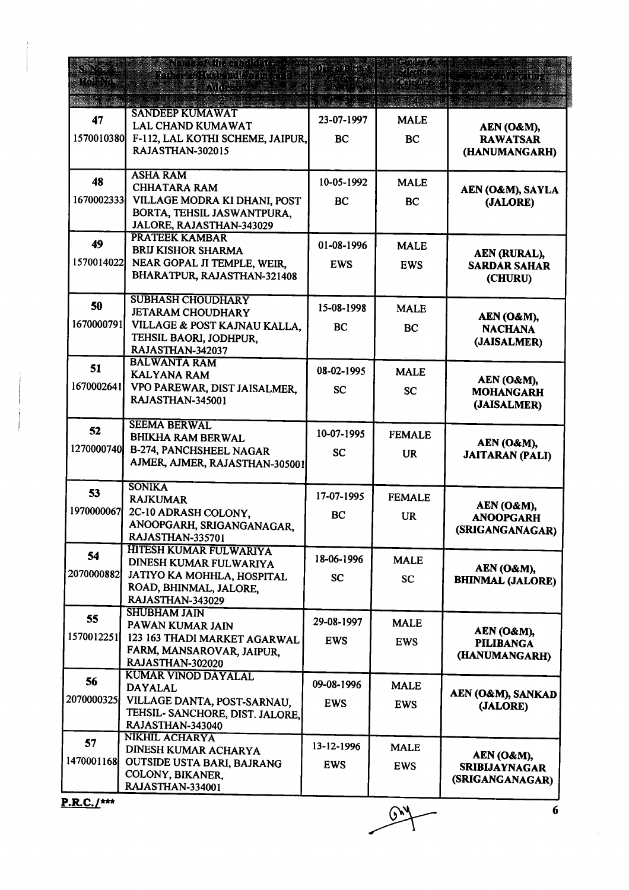| FM BOTH           | Nordssangeminger<br>ethos (Aldemakeda 216<br><u> Elizabeth Cal</u>                                                                 | on a stringer<br>47.77833 | Sing Sails<br>an kata salah<br><b>Cartonic</b> | <u>tory gramm</u>                                     |
|-------------------|------------------------------------------------------------------------------------------------------------------------------------|---------------------------|------------------------------------------------|-------------------------------------------------------|
| 47<br>1570010380  | <b>SANDEEP KUMAWAT</b><br><b>LAL CHAND KUMAWAT</b><br>F-112, LAL KOTHI SCHEME, JAIPUR,<br>RAJASTHAN-302015                         | 23-07-1997<br><b>BC</b>   | <b>MALE</b><br><b>BC</b>                       | AEN (O&M),<br><b>RAWATSAR</b><br>(HANUMANGARH)        |
| 48<br>1670002333  | <b>ASHA RAM</b><br><b>CHHATARA RAM</b><br>VILLAGE MODRA KI DHANI, POST<br>BORTA, TEHSIL JASWANTPURA,<br>JALORE, RAJASTHAN-343029   | 10-05-1992<br>BC          | <b>MALE</b><br><b>BC</b>                       | AEN (O&M), SAYLA<br>(JALORE)                          |
| 49<br>1570014022  | <b>PRATEEK KAMBAR</b><br><b>BRIJ KISHOR SHARMA</b><br>NEAR GOPAL JI TEMPLE, WEIR,<br>BHARATPUR, RAJASTHAN-321408                   | 01-08-1996<br><b>EWS</b>  | <b>MALE</b><br><b>EWS</b>                      | AEN (RURAL),<br><b>SARDAR SAHAR</b><br>(CHURU)        |
| 50<br>1670000791  | <b>SUBHASH CHOUDHARY</b><br><b>JETARAM CHOUDHARY</b><br>VILLAGE & POST KAJNAU KALLA,<br>TEHSIL BAORI, JODHPUR.<br>RAJASTHAN-342037 | 15-08-1998<br><b>BC</b>   | <b>MALE</b><br><b>BC</b>                       | AEN (O&M),<br><b>NACHANA</b><br>(JAISALMER)           |
| 51<br>1670002641  | <b>BALWANTA RAM</b><br><b>KALYANA RAM</b><br>VPO PAREWAR, DIST JAISALMER,<br>RAJASTHAN-345001                                      | 08-02-1995<br><b>SC</b>   | <b>MALE</b><br><b>SC</b>                       | AEN (O&M),<br><b>MOHANGARH</b><br>(JAISALMER)         |
| 52<br>1270000740  | <b>SEEMA BERWAL</b><br><b>BHIKHA RAM BERWAL</b><br>B-274, PANCHSHEEL NAGAR<br>AJMER, AJMER, RAJASTHAN-305001                       | 10-07-1995<br><b>SC</b>   | <b>FEMALE</b><br><b>UR</b>                     | AEN (O&M),<br><b>JAITARAN (PALI)</b>                  |
| 53<br>1970000067  | <b>SONIKA</b><br><b>RAJKUMAR</b><br>2C-10 ADRASH COLONY,<br>ANOOPGARH, SRIGANGANAGAR,<br>RAJASTHAN-335701                          | 17-07-1995<br><b>BC</b>   | <b>FEMALE</b><br><b>UR</b>                     | AEN (O&M),<br><b>ANOOPGARH</b><br>(SRIGANGANAGAR)     |
| 54<br>2070000882  | HITESH KUMAR FULWARIYA<br>DINESH KUMAR FULWARIYA<br>JATIYO KA MOHHLA, HOSPITAL<br>ROAD, BHINMAL, JALORE,<br>RAJASTHAN-343029       | 18-06-1996<br><b>SC</b>   | <b>MALE</b><br><b>SC</b>                       | AEN (O&M),<br><b>BHINMAL (JALORE)</b>                 |
| 55<br>1570012251  | <b>SHUBHAM JAIN</b><br>PAWAN KUMAR JAIN<br>123 163 THADI MARKET AGARWAL<br>FARM, MANSAROVAR, JAIPUR,<br>RAJASTHAN-302020           | 29-08-1997<br><b>EWS</b>  | <b>MALE</b><br><b>EWS</b>                      | AEN (O&M),<br><b>PILIBANGA</b><br>(HANUMANGARH)       |
| 56<br> 2070000325 | KUMAR VINOD DAYALAL<br><b>DAYALAL</b><br>VILLAGE DANTA, POST-SARNAU,<br>TEHSIL- SANCHORE, DIST. JALORE,<br>RAJASTHAN-343040        | 09-08-1996<br><b>EWS</b>  | <b>MALE</b><br><b>EWS</b>                      | AEN (O&M), SANKAD<br>(JALORE)                         |
| 57<br>1470001168  | NIKHIL ACHARYA<br>DINESH KUMAR ACHARYA<br>OUTSIDE USTA BARI, BAJRANG<br>COLONY, BIKANER,<br>RAJASTHAN-334001                       | 13-12-1996<br><b>EWS</b>  | <b>MALE</b><br><b>EWS</b>                      | AEN (O&M),<br><b>SRIBIJAYNAGAR</b><br>(SRIGANGANAGAR) |

 $\rightarrow$ 

 $\frac{1}{6}$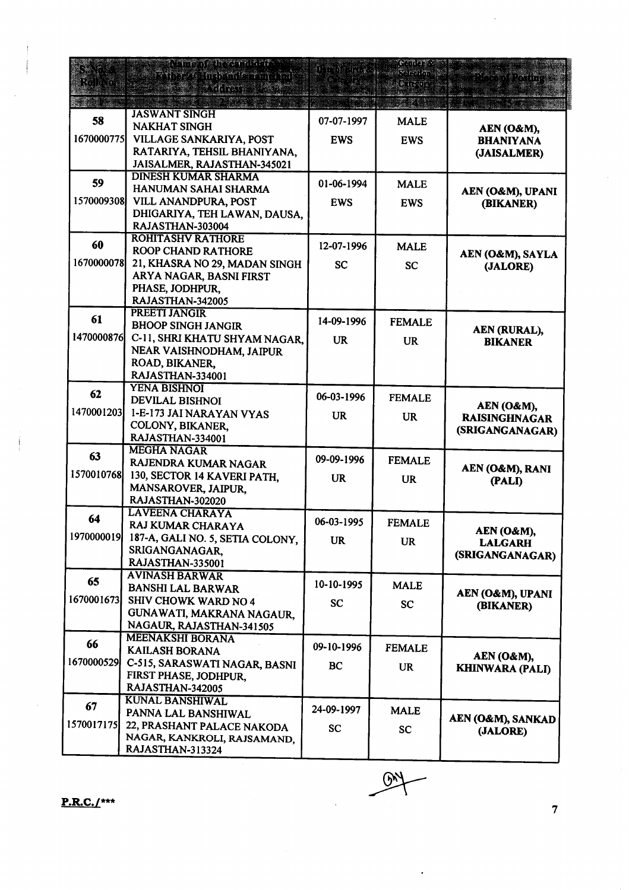| KOREKIDI   | <u>N 1996 ASTRONOMIA PAD</u><br>sti sve interne dra ma |            | pombor<br><u>Yarasim</u> i<br>$\frac{1}{2}$ | te yn e yng my                |
|------------|--------------------------------------------------------|------------|---------------------------------------------|-------------------------------|
|            | 9 MH 170 C                                             |            |                                             |                               |
|            | <b>JASWANT SINGH</b>                                   |            |                                             |                               |
| 58         | <b>NAKHAT SINGH</b>                                    | 07-07-1997 | <b>MALE</b>                                 | AEN (O&M),                    |
| 1670000775 | VILLAGE SANKARIYA, POST                                | <b>EWS</b> | <b>EWS</b>                                  | <b>BHANIYANA</b>              |
|            | RATARIYA, TEHSIL BHANIYANA,                            |            |                                             | (JAISALMER)                   |
|            | JAISALMER, RAJASTHAN-345021                            |            |                                             |                               |
| 59         | <b>DINESH KUMAR SHARMA</b>                             | 01-06-1994 | <b>MALE</b>                                 |                               |
|            | HANUMAN SAHAI SHARMA                                   |            |                                             | AEN (O&M), UPANI              |
| 1570009308 | VILL ANANDPURA, POST                                   | <b>EWS</b> | <b>EWS</b>                                  | (BIKANER)                     |
|            | DHIGARIYA, TEH LAWAN, DAUSA,                           |            |                                             |                               |
|            | RAJASTHAN-303004<br><b>ROHITASHV RATHORE</b>           |            |                                             |                               |
| 60         | <b>ROOP CHAND RATHORE</b>                              | 12-07-1996 | <b>MALE</b>                                 |                               |
| 1670000078 | 21, KHASRA NO 29, MADAN SINGH                          | <b>SC</b>  | <b>SC</b>                                   | AEN (O&M), SAYLA<br>(JALORE)  |
|            | ARYA NAGAR, BASNI FIRST                                |            |                                             |                               |
|            | PHASE, JODHPUR,                                        |            |                                             |                               |
|            | RAJASTHAN-342005                                       |            |                                             |                               |
| 61         | <b>PREETI JANGIR</b>                                   |            |                                             |                               |
|            | <b>BHOOP SINGH JANGIR</b>                              | 14-09-1996 | <b>FEMALE</b>                               | AEN (RURAL),                  |
| 1470000876 | C-11, SHRI KHATU SHYAM NAGAR,                          | <b>UR</b>  | <b>UR</b>                                   | <b>BIKANER</b>                |
|            | NEAR VAISHNODHAM, JAIPUR                               |            |                                             |                               |
|            | ROAD, BIKANER,                                         |            |                                             |                               |
|            | RAJASTHAN-334001                                       |            |                                             |                               |
| 62         | <b>YENA BISHNOI</b><br><b>DEVILAL BISHNOI</b>          | 06-03-1996 | <b>FEMALE</b>                               |                               |
| 1470001203 | 1-E-173 JAI NARAYAN VYAS                               |            |                                             | AEN (O&M),                    |
|            | COLONY, BIKANER,                                       | <b>UR</b>  | <b>UR</b>                                   | <b>RAISINGHNAGAR</b>          |
|            | RAJASTHAN-334001                                       |            |                                             | (SRIGANGANAGAR)               |
| 63         | <b>MEGHA NAGAR</b>                                     |            |                                             |                               |
|            | RAJENDRA KUMAR NAGAR                                   | 09-09-1996 | <b>FEMALE</b>                               | AEN (O&M), RANI               |
| 1570010768 | 130, SECTOR 14 KAVERI PATH,                            | <b>UR</b>  | <b>UR</b>                                   | (PALI)                        |
|            | MANSAROVER, JAIPUR,                                    |            |                                             |                               |
|            | RAJASTHAN-302020                                       |            |                                             |                               |
| 64         | <b>LAVEENA CHARAYA</b>                                 | 06-03-1995 | <b>FEMALE</b>                               |                               |
| 1970000019 | RAJ KUMAR CHARAYA                                      |            |                                             | AEN (O&M),                    |
|            | 187-A, GALI NO. 5, SETIA COLONY,<br>SRIGANGANAGAR.     | <b>UR</b>  | <b>UR</b>                                   | <b>LALGARH</b>                |
|            | RAJASTHAN-335001                                       |            |                                             | (SRIGANGANAGAR)               |
|            | <b>AVINASH BARWAR</b>                                  |            |                                             |                               |
| 65         | <b>BANSHI LAL BARWAR</b>                               | 10-10-1995 | <b>MALE</b>                                 |                               |
| 1670001673 | SHIV CHOWK WARD NO 4                                   | <b>SC</b>  | <b>SC</b>                                   | AEN (O&M), UPANI<br>(BIKANER) |
|            | GUNAWATI, MAKRANA NAGAUR,                              |            |                                             |                               |
|            | NAGAUR, RAJASTHAN-341505                               |            |                                             |                               |
| 66         | MEENAKSHI BORANA                                       | 09-10-1996 |                                             |                               |
|            | <b>KAILASH BORANA</b>                                  |            | <b>FEMALE</b>                               | AEN (O&M),                    |
| 1670000529 | C-515, SARASWATI NAGAR, BASNI                          | BC         | <b>UR</b>                                   | <b>KHINWARA (PALI)</b>        |
|            | FIRST PHASE, JODHPUR,                                  |            |                                             |                               |
|            | RAJASTHAN-342005<br><b>KUNAL BANSHIWAL</b>             |            |                                             |                               |
| 67         | PANNA LAL BANSHIWAL                                    | 24-09-1997 | <b>MALE</b>                                 |                               |
| 1570017175 | 22, PRASHANT PALACE NAKODA                             |            |                                             | AEN (O&M), SANKAD             |
|            | NAGAR, KANKROLI, RAJSAMAND,                            | <b>SC</b>  | <b>SC</b>                                   | (JALORE)                      |
|            | RAJASTHAN-313324                                       |            |                                             |                               |

 $\mathbb{R}$ 

 $P.R.C. /$ \*\*\*

 $\overline{7}$